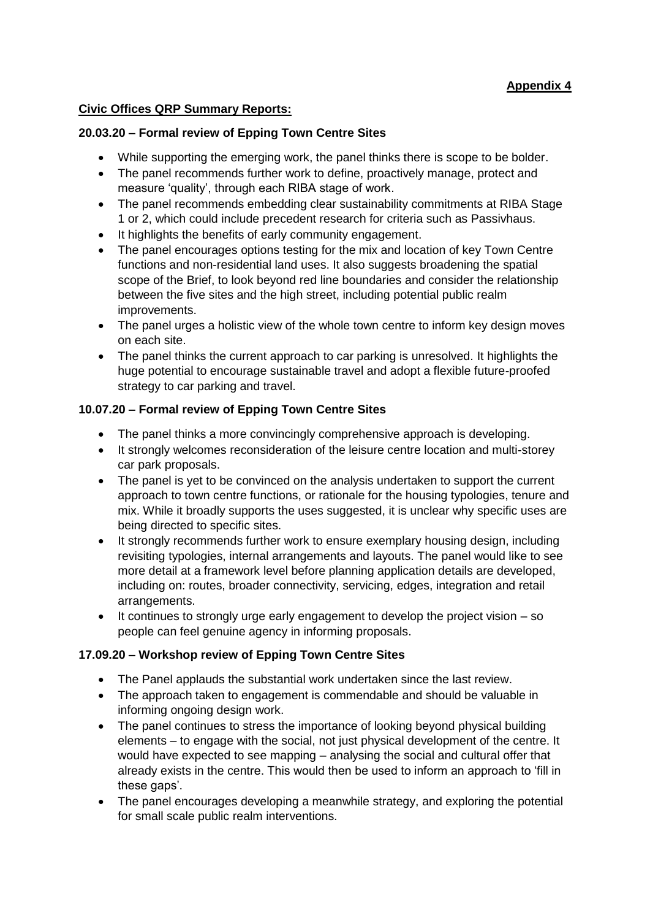# **Appendix 4**

## **Civic Offices QRP Summary Reports:**

#### **20.03.20 – Formal review of Epping Town Centre Sites**

- While supporting the emerging work, the panel thinks there is scope to be bolder.
- The panel recommends further work to define, proactively manage, protect and measure 'quality', through each RIBA stage of work.
- The panel recommends embedding clear sustainability commitments at RIBA Stage 1 or 2, which could include precedent research for criteria such as Passivhaus.
- It highlights the benefits of early community engagement.
- The panel encourages options testing for the mix and location of key Town Centre functions and non-residential land uses. It also suggests broadening the spatial scope of the Brief, to look beyond red line boundaries and consider the relationship between the five sites and the high street, including potential public realm improvements.
- The panel urges a holistic view of the whole town centre to inform key design moves on each site.
- The panel thinks the current approach to car parking is unresolved. It highlights the huge potential to encourage sustainable travel and adopt a flexible future-proofed strategy to car parking and travel.

## **10.07.20 – Formal review of Epping Town Centre Sites**

- The panel thinks a more convincingly comprehensive approach is developing.
- It strongly welcomes reconsideration of the leisure centre location and multi-storey car park proposals.
- The panel is yet to be convinced on the analysis undertaken to support the current approach to town centre functions, or rationale for the housing typologies, tenure and mix. While it broadly supports the uses suggested, it is unclear why specific uses are being directed to specific sites.
- It strongly recommends further work to ensure exemplary housing design, including revisiting typologies, internal arrangements and layouts. The panel would like to see more detail at a framework level before planning application details are developed, including on: routes, broader connectivity, servicing, edges, integration and retail arrangements.
- It continues to strongly urge early engagement to develop the project vision so people can feel genuine agency in informing proposals.

## **17.09.20 – Workshop review of Epping Town Centre Sites**

- The Panel applauds the substantial work undertaken since the last review.
- The approach taken to engagement is commendable and should be valuable in informing ongoing design work.
- The panel continues to stress the importance of looking beyond physical building elements – to engage with the social, not just physical development of the centre. It would have expected to see mapping – analysing the social and cultural offer that already exists in the centre. This would then be used to inform an approach to 'fill in these gaps'.
- The panel encourages developing a meanwhile strategy, and exploring the potential for small scale public realm interventions.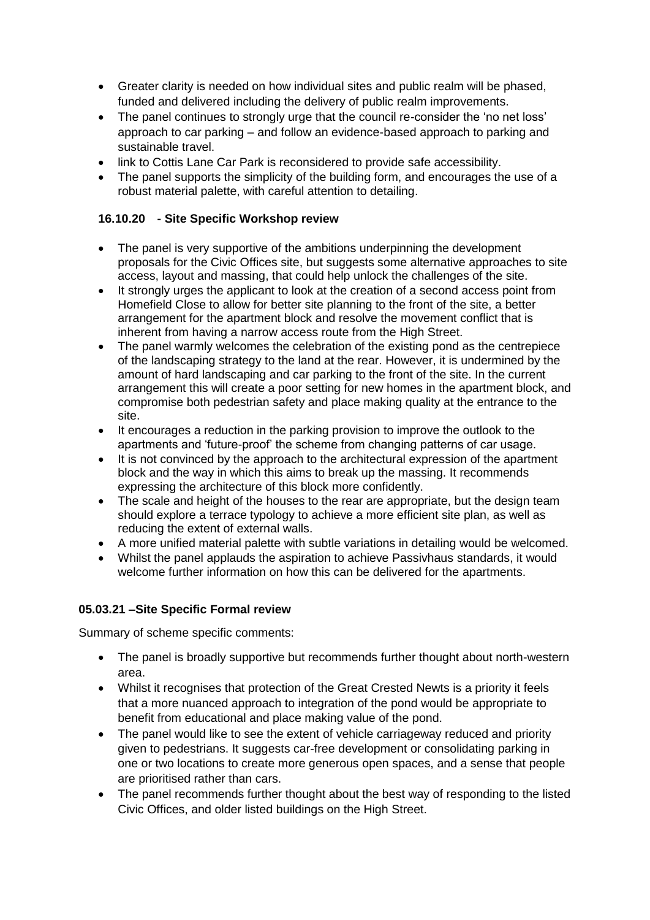- Greater clarity is needed on how individual sites and public realm will be phased, funded and delivered including the delivery of public realm improvements.
- The panel continues to strongly urge that the council re-consider the 'no net loss' approach to car parking – and follow an evidence-based approach to parking and sustainable travel.
- link to Cottis Lane Car Park is reconsidered to provide safe accessibility.
- The panel supports the simplicity of the building form, and encourages the use of a robust material palette, with careful attention to detailing.

## **16.10.20 - Site Specific Workshop review**

- The panel is very supportive of the ambitions underpinning the development proposals for the Civic Offices site, but suggests some alternative approaches to site access, layout and massing, that could help unlock the challenges of the site.
- It strongly urges the applicant to look at the creation of a second access point from Homefield Close to allow for better site planning to the front of the site, a better arrangement for the apartment block and resolve the movement conflict that is inherent from having a narrow access route from the High Street.
- The panel warmly welcomes the celebration of the existing pond as the centrepiece of the landscaping strategy to the land at the rear. However, it is undermined by the amount of hard landscaping and car parking to the front of the site. In the current arrangement this will create a poor setting for new homes in the apartment block, and compromise both pedestrian safety and place making quality at the entrance to the site.
- It encourages a reduction in the parking provision to improve the outlook to the apartments and 'future-proof' the scheme from changing patterns of car usage.
- It is not convinced by the approach to the architectural expression of the apartment block and the way in which this aims to break up the massing. It recommends expressing the architecture of this block more confidently.
- The scale and height of the houses to the rear are appropriate, but the design team should explore a terrace typology to achieve a more efficient site plan, as well as reducing the extent of external walls.
- A more unified material palette with subtle variations in detailing would be welcomed.
- Whilst the panel applauds the aspiration to achieve Passivhaus standards, it would welcome further information on how this can be delivered for the apartments.

#### **05.03.21 –Site Specific Formal review**

Summary of scheme specific comments:

- The panel is broadly supportive but recommends further thought about north-western area.
- Whilst it recognises that protection of the Great Crested Newts is a priority it feels that a more nuanced approach to integration of the pond would be appropriate to benefit from educational and place making value of the pond.
- The panel would like to see the extent of vehicle carriageway reduced and priority given to pedestrians. It suggests car-free development or consolidating parking in one or two locations to create more generous open spaces, and a sense that people are prioritised rather than cars.
- The panel recommends further thought about the best way of responding to the listed Civic Offices, and older listed buildings on the High Street.